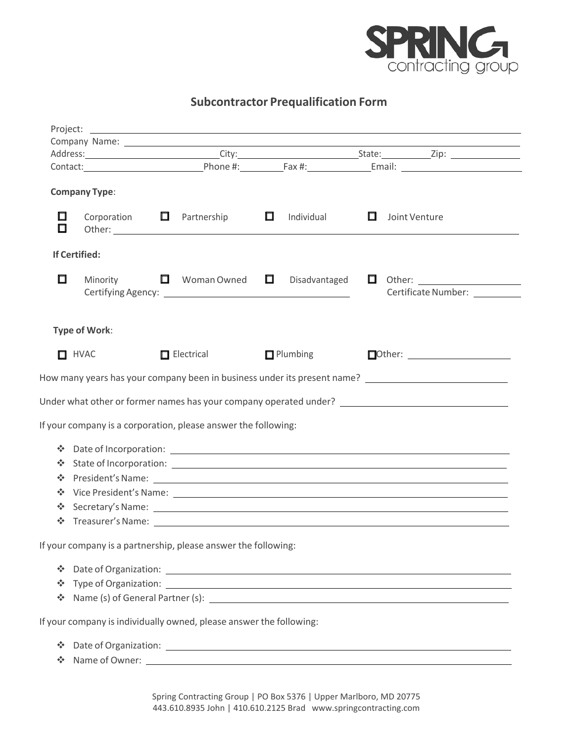

**Subcontractor Prequalification Form** 

|                     |                                                                     |        |                           |        |                 |   | Contact: Contact: Contact: Contact: Contact: Contact: Contact: Contact: Contact: Contact: Contact: Contact: Contact: Contact: Contact: Contact: Contact: Contact: Contact: Contact: Contact: Contact: Contact: Contact: Contac |  |
|---------------------|---------------------------------------------------------------------|--------|---------------------------|--------|-----------------|---|--------------------------------------------------------------------------------------------------------------------------------------------------------------------------------------------------------------------------------|--|
|                     | <b>Company Type:</b>                                                |        |                           |        |                 |   |                                                                                                                                                                                                                                |  |
| 囗<br>⊡              | Corporation $\Box$                                                  |        | Partnership               | $\Box$ | Individual      | ப | Joint Venture                                                                                                                                                                                                                  |  |
|                     | <b>If Certified:</b>                                                |        |                           |        |                 |   |                                                                                                                                                                                                                                |  |
| $\Box$              | Minority                                                            | $\Box$ | Woman Owned $\qquad \Box$ |        | Disadvantaged   |   |                                                                                                                                                                                                                                |  |
|                     | <b>Type of Work:</b>                                                |        |                           |        |                 |   |                                                                                                                                                                                                                                |  |
|                     | $\Box$ HVAC                                                         |        | $\Box$ Electrical         |        | $\Box$ Plumbing |   |                                                                                                                                                                                                                                |  |
|                     |                                                                     |        |                           |        |                 |   | How many years has your company been in business under its present name? [100] [100] [100] [100] [100] [100] [                                                                                                                 |  |
|                     |                                                                     |        |                           |        |                 |   | Under what other or former names has your company operated under? __________________________________                                                                                                                           |  |
|                     | If your company is a corporation, please answer the following:      |        |                           |        |                 |   |                                                                                                                                                                                                                                |  |
| ❖<br>❖<br>∙ूँ≁<br>❖ |                                                                     |        |                           |        |                 |   | ❖ State of Incorporation:<br>Secretary's Name: experience of the secretary's Name:                                                                                                                                             |  |
|                     | If your company is a partnership, please answer the following:      |        |                           |        |                 |   |                                                                                                                                                                                                                                |  |
| ❖<br>❖              |                                                                     |        |                           |        |                 |   |                                                                                                                                                                                                                                |  |
|                     | If your company is individually owned, please answer the following: |        |                           |        |                 |   |                                                                                                                                                                                                                                |  |
| ❖<br>∻              |                                                                     |        |                           |        |                 |   | Name of Owner: Name of Owner:                                                                                                                                                                                                  |  |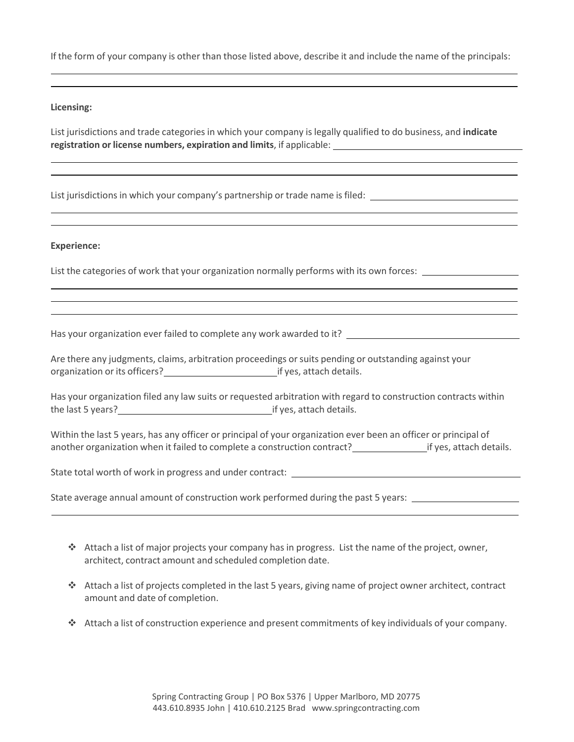If the form of your company is other than those listed above, describe it and include the name of the principals:

## **Licensing:**

List jurisdictions and trade categories in which your company is legally qualified to do business, and **indicate registration or license numbers, expiration and limits**, if applicable:

List jurisdictions in which your company's partnership or trade name is filed:

## **Experience:**

List the categories of work that your organization normally performs with its own forces:

Has your organization ever failed to complete any work awarded to it?

Are there any judgments, claims, arbitration proceedings or suits pending or outstanding against your organization or its officers? if yes, attach details.

Has your organization filed any law suits or requested arbitration with regard to construction contracts within the last 5 years?<br>
if yes, attach details.

Within the last 5 years, has any officer or principal of your organization ever been an officer or principal of another organization when it failed to complete a construction contract? **in the set of yes**, attach details.

State total worth of work in progress and under contract: \_\_\_

State average annual amount of construction work performed during the past 5 years:

- $*$  Attach a list of major projects your company has in progress. List the name of the project, owner, architect, contract amount and scheduled completion date.
- Attach a list of projects completed in the last 5 years, giving name of project owner architect, contract amount and date of completion.
- Attach a list of construction experience and present commitments of key individuals of your company.